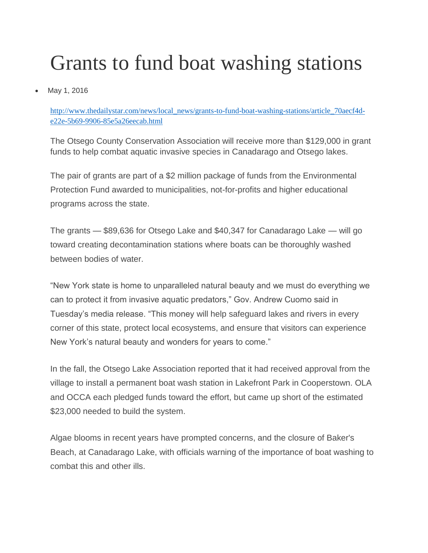## Grants to fund boat washing stations

May 1, 2016

[http://www.thedailystar.com/news/local\\_news/grants-to-fund-boat-washing-stations/article\\_70aecf4d](http://www.thedailystar.com/news/local_news/grants-to-fund-boat-washing-stations/article_70aecf4d-e22e-5b69-9906-85e5a26eecab.html)[e22e-5b69-9906-85e5a26eecab.html](http://www.thedailystar.com/news/local_news/grants-to-fund-boat-washing-stations/article_70aecf4d-e22e-5b69-9906-85e5a26eecab.html)

The Otsego County Conservation Association will receive more than \$129,000 in grant funds to help combat aquatic invasive species in Canadarago and Otsego lakes.

The pair of grants are part of a \$2 million package of funds from the Environmental Protection Fund awarded to municipalities, not-for-profits and higher educational programs across the state.

The grants — \$89,636 for Otsego Lake and \$40,347 for Canadarago Lake — will go toward creating decontamination stations where boats can be thoroughly washed between bodies of water.

"New York state is home to unparalleled natural beauty and we must do everything we can to protect it from invasive aquatic predators," Gov. Andrew Cuomo said in Tuesday's media release. "This money will help safeguard lakes and rivers in every corner of this state, protect local ecosystems, and ensure that visitors can experience New York's natural beauty and wonders for years to come."

In the fall, the Otsego Lake Association reported that it had received approval from the village to install a permanent boat wash station in Lakefront Park in Cooperstown. OLA and OCCA each pledged funds toward the effort, but came up short of the estimated \$23,000 needed to build the system.

Algae blooms in recent years have prompted concerns, and the closure of Baker's Beach, at Canadarago Lake, with officials warning of the importance of boat washing to combat this and other ills.